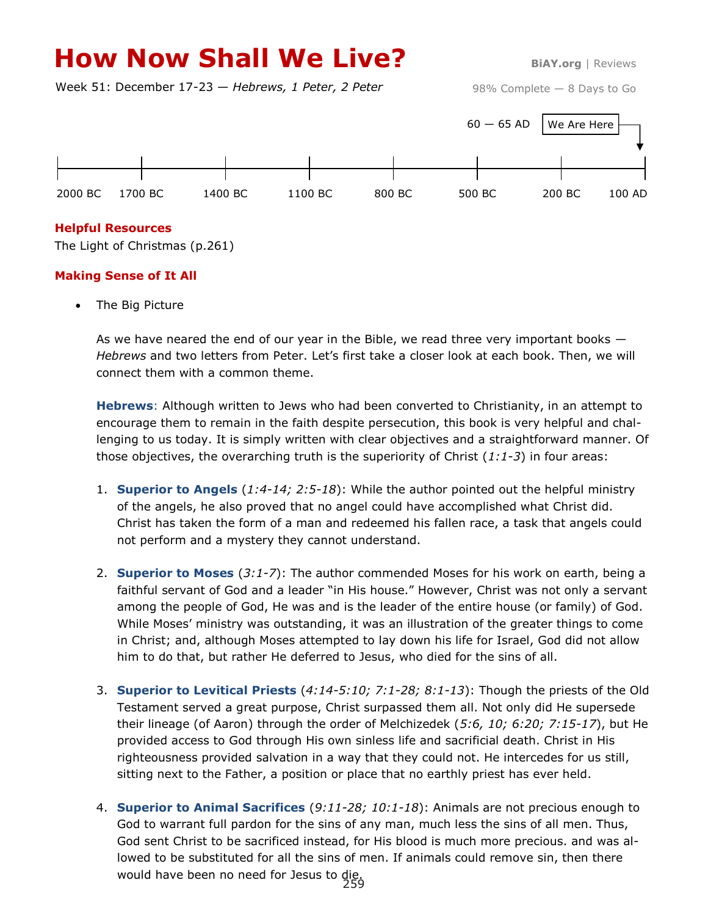# **How Now Shall We Live?** BIAY.org | Reviews

Week 51: December 17-23 — *Hebrews, 1 Peter, 2 Peter*

98% Complete — 8 Days to Go



## **Helpful Resources**

The Light of Christmas (p.261)

## **Making Sense of It All**

• The Big Picture

As we have neared the end of our year in the Bible, we read three very important books  $-$ *Hebrews* and two letters from Peter. Let's first take a closer look at each book. Then, we will connect them with a common theme.

**Hebrews**: Although written to Jews who had been converted to Christianity, in an attempt to encourage them to remain in the faith despite persecution, this book is very helpful and challenging to us today. It is simply written with clear objectives and a straightforward manner. Of those objectives, the overarching truth is the superiority of Christ (*1:1-3*) in four areas:

- 1. **Superior to Angels** (*1:4-14; 2:5-18*): While the author pointed out the helpful ministry of the angels, he also proved that no angel could have accomplished what Christ did. Christ has taken the form of a man and redeemed his fallen race, a task that angels could not perform and a mystery they cannot understand.
- 2. **Superior to Moses** (*3:1-7*): The author commended Moses for his work on earth, being a faithful servant of God and a leader "in His house." However, Christ was not only a servant among the people of God, He was and is the leader of the entire house (or family) of God. While Moses' ministry was outstanding, it was an illustration of the greater things to come in Christ; and, although Moses attempted to lay down his life for Israel, God did not allow him to do that, but rather He deferred to Jesus, who died for the sins of all.
- 3. **Superior to Levitical Priests** (*4:14-5:10; 7:1-28; 8:1-13*): Though the priests of the Old Testament served a great purpose, Christ surpassed them all. Not only did He supersede their lineage (of Aaron) through the order of Melchizedek (*5:6, 10; 6:20; 7:15-17*), but He provided access to God through His own sinless life and sacrificial death. Christ in His righteousness provided salvation in a way that they could not. He intercedes for us still, sitting next to the Father, a position or place that no earthly priest has ever held.
- 4. **Superior to Animal Sacrifices** (*9:11-28; 10:1-18*): Animals are not precious enough to God to warrant full pardon for the sins of any man, much less the sins of all men. Thus, God sent Christ to be sacrificed instead, for His blood is much more precious. and was allowed to be substituted for all the sins of men. If animals could remove sin, then there would have been no need for Jesus to die. 259